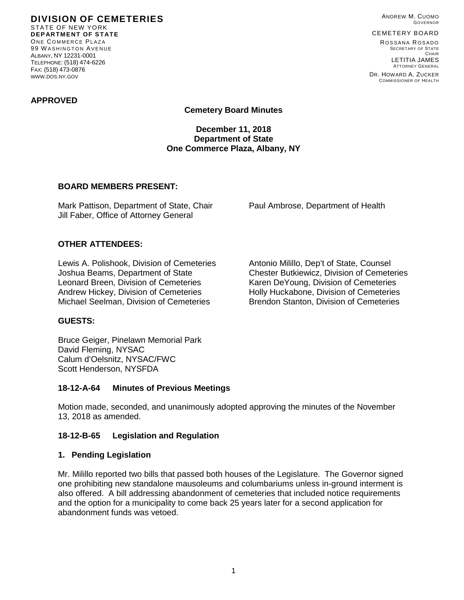**DIVISION OF CEMETERIES** STATE OF NEW YORK **DEPARTMENT OF STATE** ONE COMMERCE PLAZA 99 W ASHINGTON AVENUE ALBANY, NY 12231-0001 TELEPHONE: (518) 474-6226 FAX: (518) 473-0876 WWW.DOS.NY.GOV

ANDREW M. CUOMO GOVERNOR

# CEMETERY BOARD

ROSSANA ROSADO SECRETARY OF STATE CHAIR LETITIA JAMES ATTORNEY GENERAL

DR. HOWARD A. ZUCKER COMMISSIONER OF HEALTH

### **APPROVED**

**Cemetery Board Minutes**

**December 11, 2018 Department of State One Commerce Plaza, Albany, NY**

### **BOARD MEMBERS PRESENT:**

Mark Pattison, Department of State, Chair Paul Ambrose, Department of Health Jill Faber, Office of Attorney General

## **OTHER ATTENDEES:**

Lewis A. Polishook, Division of Cemeteries Antonio Milillo, Dep't of State, Counsel Joshua Beams, Department of State Chester Butkiewicz, Division of Cemeteries Leonard Breen, Division of Cemeteries Karen DeYoung, Division of Cemeteries Andrew Hickey, Division of Cemeteries **Holly Huckabone, Division of Cemeteries** Michael Seelman, Division of Cemeteries Brendon Stanton, Division of Cemeteries

### **GUESTS:**

Bruce Geiger, Pinelawn Memorial Park David Fleming, NYSAC Calum d'Oelsnitz, NYSAC/FWC Scott Henderson, NYSFDA

### **18-12-A-64 Minutes of Previous Meetings**

Motion made, seconded, and unanimously adopted approving the minutes of the November 13, 2018 as amended.

### **18-12-B-65 Legislation and Regulation**

### **1. Pending Legislation**

Mr. Milillo reported two bills that passed both houses of the Legislature. The Governor signed one prohibiting new standalone mausoleums and columbariums unless in-ground interment is also offered. A bill addressing abandonment of cemeteries that included notice requirements and the option for a municipality to come back 25 years later for a second application for abandonment funds was vetoed.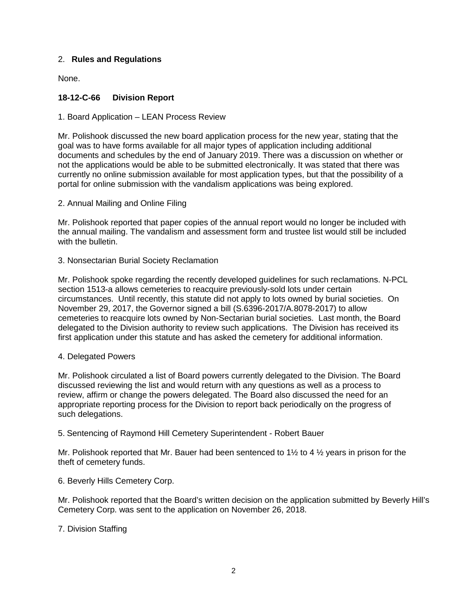## 2. **Rules and Regulations**

None.

# **18-12-C-66 Division Report**

1. Board Application – LEAN Process Review

Mr. Polishook discussed the new board application process for the new year, stating that the goal was to have forms available for all major types of application including additional documents and schedules by the end of January 2019. There was a discussion on whether or not the applications would be able to be submitted electronically. It was stated that there was currently no online submission available for most application types, but that the possibility of a portal for online submission with the vandalism applications was being explored.

2. Annual Mailing and Online Filing

Mr. Polishook reported that paper copies of the annual report would no longer be included with the annual mailing. The vandalism and assessment form and trustee list would still be included with the bulletin.

3. Nonsectarian Burial Society Reclamation

Mr. Polishook spoke regarding the recently developed guidelines for such reclamations. N-PCL section 1513-a allows cemeteries to reacquire previously-sold lots under certain circumstances. Until recently, this statute did not apply to lots owned by burial societies. On November 29, 2017, the Governor signed a bill (S.6396-2017/A.8078-2017) to allow cemeteries to reacquire lots owned by Non-Sectarian burial societies. Last month, the Board delegated to the Division authority to review such applications. The Division has received its first application under this statute and has asked the cemetery for additional information.

## 4. Delegated Powers

Mr. Polishook circulated a list of Board powers currently delegated to the Division. The Board discussed reviewing the list and would return with any questions as well as a process to review, affirm or change the powers delegated. The Board also discussed the need for an appropriate reporting process for the Division to report back periodically on the progress of such delegations.

5. Sentencing of Raymond Hill Cemetery Superintendent - Robert Bauer

Mr. Polishook reported that Mr. Bauer had been sentenced to 1 $\frac{1}{2}$  to 4  $\frac{1}{2}$  years in prison for the theft of cemetery funds.

6. Beverly Hills Cemetery Corp.

Mr. Polishook reported that the Board's written decision on the application submitted by Beverly Hill's Cemetery Corp. was sent to the application on November 26, 2018.

7. Division Staffing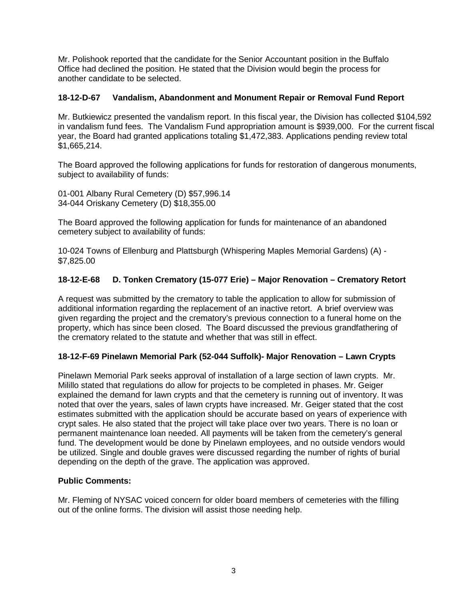Mr. Polishook reported that the candidate for the Senior Accountant position in the Buffalo Office had declined the position. He stated that the Division would begin the process for another candidate to be selected.

# **18-12-D-67 Vandalism, Abandonment and Monument Repair or Removal Fund Report**

Mr. Butkiewicz presented the vandalism report. In this fiscal year, the Division has collected \$104,592 in vandalism fund fees. The Vandalism Fund appropriation amount is \$939,000. For the current fiscal year, the Board had granted applications totaling \$1,472,383. Applications pending review total \$1,665,214.

The Board approved the following applications for funds for restoration of dangerous monuments, subject to availability of funds:

01-001 Albany Rural Cemetery (D) \$57,996.14 34-044 Oriskany Cemetery (D) \$18,355.00

The Board approved the following application for funds for maintenance of an abandoned cemetery subject to availability of funds:

10-024 Towns of Ellenburg and Plattsburgh (Whispering Maples Memorial Gardens) (A) - \$7,825.00

## **18-12-E-68 D. Tonken Crematory (15-077 Erie) – Major Renovation – Crematory Retort**

A request was submitted by the crematory to table the application to allow for submission of additional information regarding the replacement of an inactive retort. A brief overview was given regarding the project and the crematory's previous connection to a funeral home on the property, which has since been closed. The Board discussed the previous grandfathering of the crematory related to the statute and whether that was still in effect.

## **18-12-F-69 Pinelawn Memorial Park (52-044 Suffolk)- Major Renovation – Lawn Crypts**

Pinelawn Memorial Park seeks approval of installation of a large section of lawn crypts. Mr. Milillo stated that regulations do allow for projects to be completed in phases. Mr. Geiger explained the demand for lawn crypts and that the cemetery is running out of inventory. It was noted that over the years, sales of lawn crypts have increased. Mr. Geiger stated that the cost estimates submitted with the application should be accurate based on years of experience with crypt sales. He also stated that the project will take place over two years. There is no loan or permanent maintenance loan needed. All payments will be taken from the cemetery's general fund. The development would be done by Pinelawn employees, and no outside vendors would be utilized. Single and double graves were discussed regarding the number of rights of burial depending on the depth of the grave. The application was approved.

# **Public Comments:**

Mr. Fleming of NYSAC voiced concern for older board members of cemeteries with the filling out of the online forms. The division will assist those needing help.